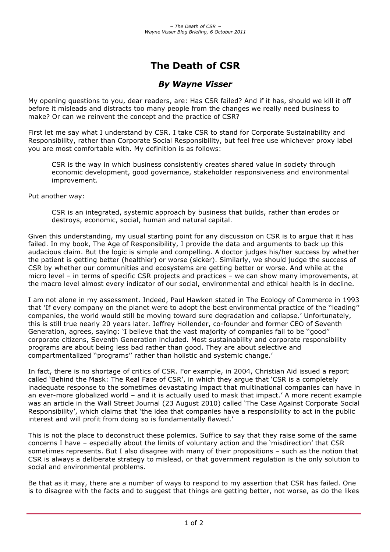# **The Death of CSR**

# *By Wayne Visser*

My opening questions to you, dear readers, are: Has CSR failed? And if it has, should we kill it off before it misleads and distracts too many people from the changes we really need business to make? Or can we reinvent the concept and the practice of CSR?

First let me say what I understand by CSR. I take CSR to stand for Corporate Sustainability and Responsibility, rather than Corporate Social Responsibility, but feel free use whichever proxy label you are most comfortable with. My definition is as follows:

CSR is the way in which business consistently creates shared value in society through economic development, good governance, stakeholder responsiveness and environmental improvement.

Put another way:

CSR is an integrated, systemic approach by business that builds, rather than erodes or destroys, economic, social, human and natural capital.

Given this understanding, my usual starting point for any discussion on CSR is to argue that it has failed. In my book, The Age of Responsibility, I provide the data and arguments to back up this audacious claim. But the logic is simple and compelling. A doctor judges his/her success by whether the patient is getting better (healthier) or worse (sicker). Similarly, we should judge the success of CSR by whether our communities and ecosystems are getting better or worse. And while at the micro level – in terms of specific CSR projects and practices – we can show many improvements, at the macro level almost every indicator of our social, environmental and ethical health is in decline.

I am not alone in my assessment. Indeed, Paul Hawken stated in The Ecology of Commerce in 1993 that 'If every company on the planet were to adopt the best environmental practice of the ''leading'' companies, the world would still be moving toward sure degradation and collapse.' Unfortunately, this is still true nearly 20 years later. Jeffrey Hollender, co-founder and former CEO of Seventh Generation, agrees, saying: 'I believe that the vast majority of companies fail to be ''good'' corporate citizens, Seventh Generation included. Most sustainability and corporate responsibility programs are about being less bad rather than good. They are about selective and compartmentalized ''programs'' rather than holistic and systemic change.'

In fact, there is no shortage of critics of CSR. For example, in 2004, Christian Aid issued a report called 'Behind the Mask: The Real Face of CSR', in which they argue that 'CSR is a completely inadequate response to the sometimes devastating impact that multinational companies can have in an ever-more globalized world – and it is actually used to mask that impact.' A more recent example was an article in the Wall Street Journal (23 August 2010) called 'The Case Against Corporate Social Responsibility', which claims that 'the idea that companies have a responsibility to act in the public interest and will profit from doing so is fundamentally flawed.'

This is not the place to deconstruct these polemics. Suffice to say that they raise some of the same concerns I have – especially about the limits of voluntary action and the 'misdirection' that CSR sometimes represents. But I also disagree with many of their propositions – such as the notion that CSR is always a deliberate strategy to mislead, or that government regulation is the only solution to social and environmental problems.

Be that as it may, there are a number of ways to respond to my assertion that CSR has failed. One is to disagree with the facts and to suggest that things are getting better, not worse, as do the likes